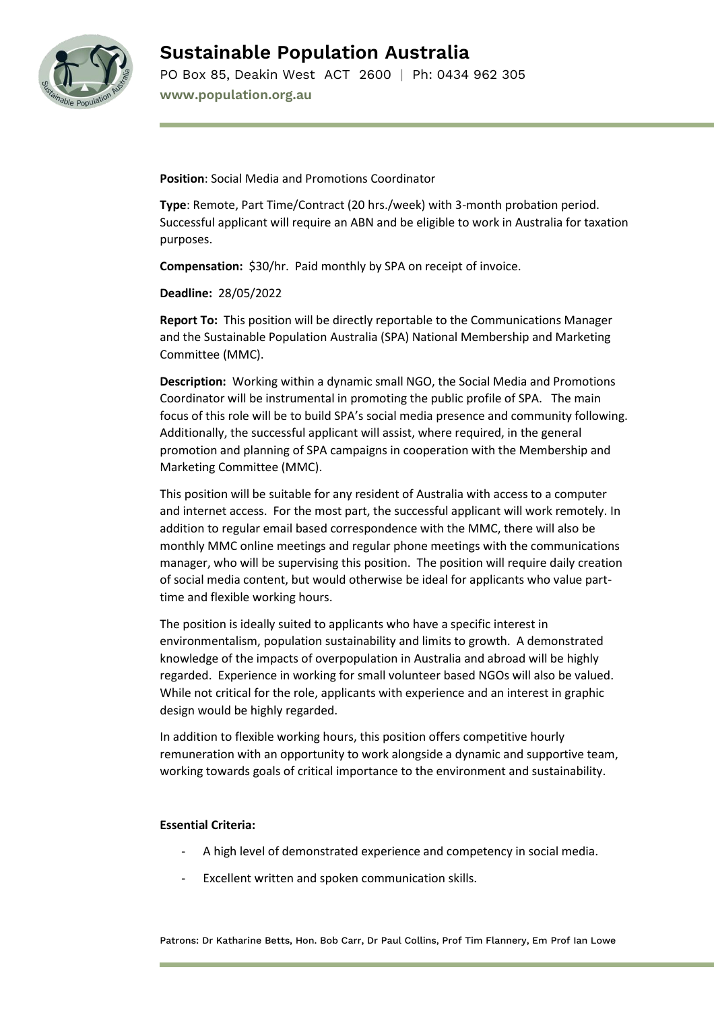

# **Sustainable Population Australia**

PO Box 85, Deakin West ACT 2600 | Ph: 0434 962 305 **www.population.org.au**

**Position**: Social Media and Promotions Coordinator

**Type**: Remote, Part Time/Contract (20 hrs./week) with 3-month probation period. Successful applicant will require an ABN and be eligible to work in Australia for taxation purposes.

**Compensation:** \$30/hr. Paid monthly by SPA on receipt of invoice.

**Deadline:** 28/05/2022

**Report To:** This position will be directly reportable to the Communications Manager and the Sustainable Population Australia (SPA) National Membership and Marketing Committee (MMC).

**Description:** Working within a dynamic small NGO, the Social Media and Promotions Coordinator will be instrumental in promoting the public profile of SPA. The main focus of this role will be to build SPA's social media presence and community following. Additionally, the successful applicant will assist, where required, in the general promotion and planning of SPA campaigns in cooperation with the Membership and Marketing Committee (MMC).

This position will be suitable for any resident of Australia with access to a computer and internet access. For the most part, the successful applicant will work remotely. In addition to regular email based correspondence with the MMC, there will also be monthly MMC online meetings and regular phone meetings with the communications manager, who will be supervising this position. The position will require daily creation of social media content, but would otherwise be ideal for applicants who value parttime and flexible working hours.

The position is ideally suited to applicants who have a specific interest in environmentalism, population sustainability and limits to growth. A demonstrated knowledge of the impacts of overpopulation in Australia and abroad will be highly regarded. Experience in working for small volunteer based NGOs will also be valued. While not critical for the role, applicants with experience and an interest in graphic design would be highly regarded.

In addition to flexible working hours, this position offers competitive hourly remuneration with an opportunity to work alongside a dynamic and supportive team, working towards goals of critical importance to the environment and sustainability.

## **Essential Criteria:**

- A high level of demonstrated experience and competency in social media.
- Excellent written and spoken communication skills.

Patrons: Dr Katharine Betts, Hon. Bob Carr, Dr Paul Collins, Prof Tim Flannery, Em Prof Ian Lowe